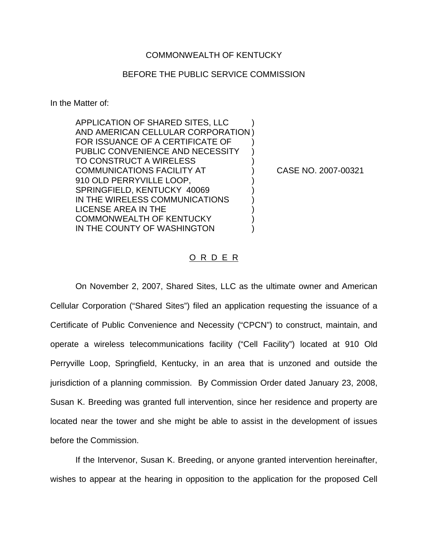## COMMONWEALTH OF KENTUCKY

## BEFORE THE PUBLIC SERVICE COMMISSION

In the Matter of:

APPLICATION OF SHARED SITES, LLC ) AND AMERICAN CELLULAR CORPORATION ) FOR ISSUANCE OF A CERTIFICATE OF ) PUBLIC CONVENIENCE AND NECESSITY TO CONSTRUCT A WIRELESS COMMUNICATIONS FACILITY AT ) CASE NO. 2007-00321 910 OLD PERRYVILLE LOOP, SPRINGFIELD, KENTUCKY 40069 IN THE WIRELESS COMMUNICATIONS LICENSE AREA IN THE ) COMMONWEALTH OF KENTUCKY ) IN THE COUNTY OF WASHINGTON

## O R D E R

On November 2, 2007, Shared Sites, LLC as the ultimate owner and American Cellular Corporation ("Shared Sites") filed an application requesting the issuance of a Certificate of Public Convenience and Necessity ("CPCN") to construct, maintain, and operate a wireless telecommunications facility ("Cell Facility") located at 910 Old Perryville Loop, Springfield, Kentucky, in an area that is unzoned and outside the jurisdiction of a planning commission. By Commission Order dated January 23, 2008, Susan K. Breeding was granted full intervention, since her residence and property are located near the tower and she might be able to assist in the development of issues before the Commission.

If the Intervenor, Susan K. Breeding, or anyone granted intervention hereinafter, wishes to appear at the hearing in opposition to the application for the proposed Cell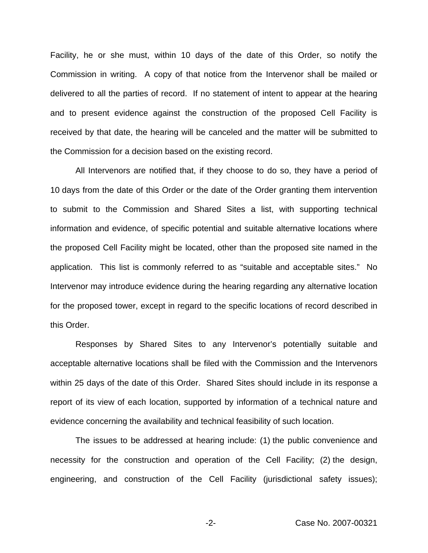Facility, he or she must, within 10 days of the date of this Order, so notify the Commission in writing. A copy of that notice from the Intervenor shall be mailed or delivered to all the parties of record. If no statement of intent to appear at the hearing and to present evidence against the construction of the proposed Cell Facility is received by that date, the hearing will be canceled and the matter will be submitted to the Commission for a decision based on the existing record.

All Intervenors are notified that, if they choose to do so, they have a period of 10 days from the date of this Order or the date of the Order granting them intervention to submit to the Commission and Shared Sites a list, with supporting technical information and evidence, of specific potential and suitable alternative locations where the proposed Cell Facility might be located, other than the proposed site named in the application. This list is commonly referred to as "suitable and acceptable sites." No Intervenor may introduce evidence during the hearing regarding any alternative location for the proposed tower, except in regard to the specific locations of record described in this Order.

Responses by Shared Sites to any Intervenor's potentially suitable and acceptable alternative locations shall be filed with the Commission and the Intervenors within 25 days of the date of this Order. Shared Sites should include in its response a report of its view of each location, supported by information of a technical nature and evidence concerning the availability and technical feasibility of such location.

The issues to be addressed at hearing include: (1) the public convenience and necessity for the construction and operation of the Cell Facility; (2) the design, engineering, and construction of the Cell Facility (jurisdictional safety issues);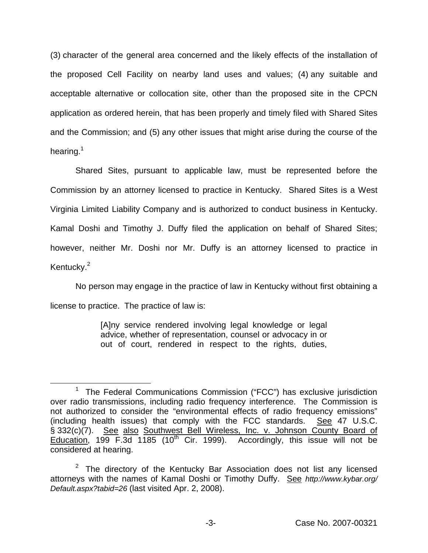(3) character of the general area concerned and the likely effects of the installation of the proposed Cell Facility on nearby land uses and values; (4) any suitable and acceptable alternative or collocation site, other than the proposed site in the CPCN application as ordered herein, that has been properly and timely filed with Shared Sites and the Commission; and (5) any other issues that might arise during the course of the hearing.<sup>1</sup>

Shared Sites, pursuant to applicable law, must be represented before the Commission by an attorney licensed to practice in Kentucky. Shared Sites is a West Virginia Limited Liability Company and is authorized to conduct business in Kentucky. Kamal Doshi and Timothy J. Duffy filed the application on behalf of Shared Sites; however, neither Mr. Doshi nor Mr. Duffy is an attorney licensed to practice in Kentucky.<sup>2</sup>

No person may engage in the practice of law in Kentucky without first obtaining a license to practice. The practice of law is:

> [A]ny service rendered involving legal knowledge or legal advice, whether of representation, counsel or advocacy in or out of court, rendered in respect to the rights, duties,

<sup>&</sup>lt;sup>1</sup> The Federal Communications Commission ("FCC") has exclusive jurisdiction over radio transmissions, including radio frequency interference. The Commission is not authorized to consider the "environmental effects of radio frequency emissions" (including health issues) that comply with the FCC standards. See 47 U.S.C. § 332(c)(7). See also Southwest Bell Wireless, Inc. v. Johnson County Board of Education, 199 F.3d 1185 (10<sup>th</sup> Cir. 1999). Accordingly, this issue will not be considered at hearing.

 $2$  The directory of the Kentucky Bar Association does not list any licensed attorneys with the names of Kamal Doshi or Timothy Duffy. See *http://www.kybar.org/ Default.aspx?tabid=26* (last visited Apr. 2, 2008).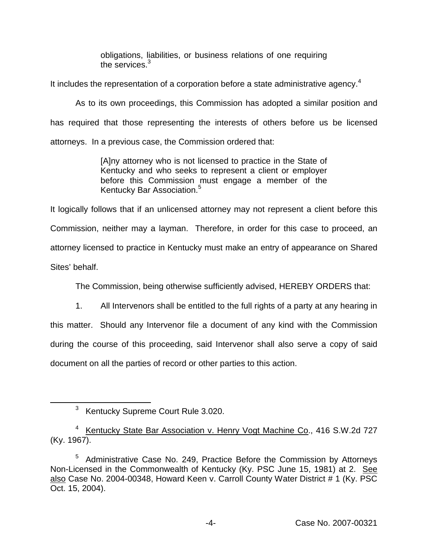obligations, liabilities, or business relations of one requiring the services.<sup>3</sup>

It includes the representation of a corporation before a state administrative agency. $4$ 

As to its own proceedings, this Commission has adopted a similar position and has required that those representing the interests of others before us be licensed attorneys. In a previous case, the Commission ordered that:

> [A]ny attorney who is not licensed to practice in the State of Kentucky and who seeks to represent a client or employer before this Commission must engage a member of the Kentucky Bar Association.<sup>5</sup>

It logically follows that if an unlicensed attorney may not represent a client before this Commission, neither may a layman. Therefore, in order for this case to proceed, an attorney licensed to practice in Kentucky must make an entry of appearance on Shared Sites' behalf.

The Commission, being otherwise sufficiently advised, HEREBY ORDERS that:

1. All Intervenors shall be entitled to the full rights of a party at any hearing in this matter. Should any Intervenor file a document of any kind with the Commission during the course of this proceeding, said Intervenor shall also serve a copy of said document on all the parties of record or other parties to this action.

<sup>3</sup> Kentucky Supreme Court Rule 3.020.

<sup>&</sup>lt;sup>4</sup> Kentucky State Bar Association v. Henry Vogt Machine Co., 416 S.W.2d 727 (Ky. 1967).

<sup>&</sup>lt;sup>5</sup> Administrative Case No. 249, Practice Before the Commission by Attorneys Non-Licensed in the Commonwealth of Kentucky (Ky. PSC June 15, 1981) at 2. See also Case No. 2004-00348, Howard Keen v. Carroll County Water District # 1 (Ky. PSC Oct. 15, 2004).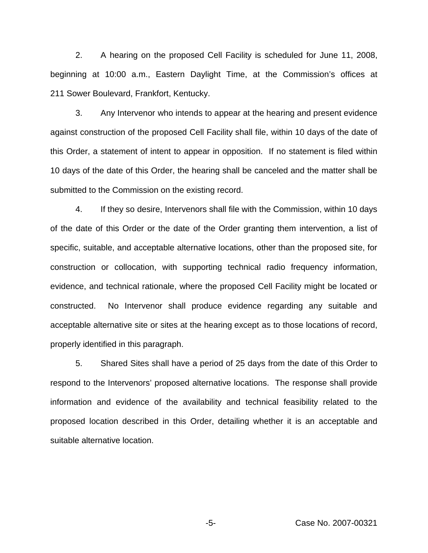2. A hearing on the proposed Cell Facility is scheduled for June 11, 2008, beginning at 10:00 a.m., Eastern Daylight Time, at the Commission's offices at 211 Sower Boulevard, Frankfort, Kentucky.

3. Any Intervenor who intends to appear at the hearing and present evidence against construction of the proposed Cell Facility shall file, within 10 days of the date of this Order, a statement of intent to appear in opposition. If no statement is filed within 10 days of the date of this Order, the hearing shall be canceled and the matter shall be submitted to the Commission on the existing record.

4. If they so desire, Intervenors shall file with the Commission, within 10 days of the date of this Order or the date of the Order granting them intervention, a list of specific, suitable, and acceptable alternative locations, other than the proposed site, for construction or collocation, with supporting technical radio frequency information, evidence, and technical rationale, where the proposed Cell Facility might be located or constructed. No Intervenor shall produce evidence regarding any suitable and acceptable alternative site or sites at the hearing except as to those locations of record, properly identified in this paragraph.

5. Shared Sites shall have a period of 25 days from the date of this Order to respond to the Intervenors' proposed alternative locations. The response shall provide information and evidence of the availability and technical feasibility related to the proposed location described in this Order, detailing whether it is an acceptable and suitable alternative location.

-5- Case No. 2007-00321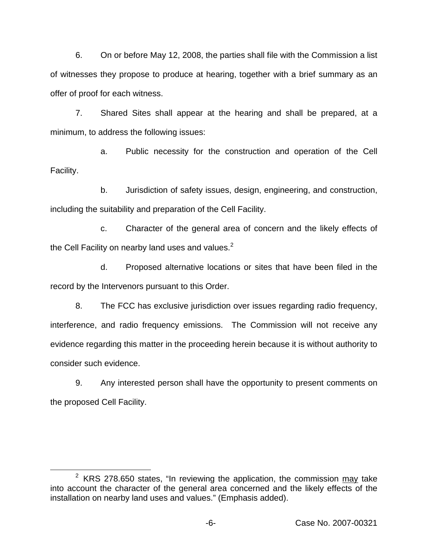6. On or before May 12, 2008, the parties shall file with the Commission a list of witnesses they propose to produce at hearing, together with a brief summary as an offer of proof for each witness.

7. Shared Sites shall appear at the hearing and shall be prepared, at a minimum, to address the following issues:

a. Public necessity for the construction and operation of the Cell Facility.

b. Jurisdiction of safety issues, design, engineering, and construction, including the suitability and preparation of the Cell Facility.

c. Character of the general area of concern and the likely effects of the Cell Facility on nearby land uses and values. $2^2$ 

d. Proposed alternative locations or sites that have been filed in the record by the Intervenors pursuant to this Order.

8. The FCC has exclusive jurisdiction over issues regarding radio frequency, interference, and radio frequency emissions. The Commission will not receive any evidence regarding this matter in the proceeding herein because it is without authority to consider such evidence.

9. Any interested person shall have the opportunity to present comments on the proposed Cell Facility.

 $2$  KRS 278.650 states, "In reviewing the application, the commission  $\frac{\text{may}}{\text{a}}$  take into account the character of the general area concerned and the likely effects of the installation on nearby land uses and values." (Emphasis added).